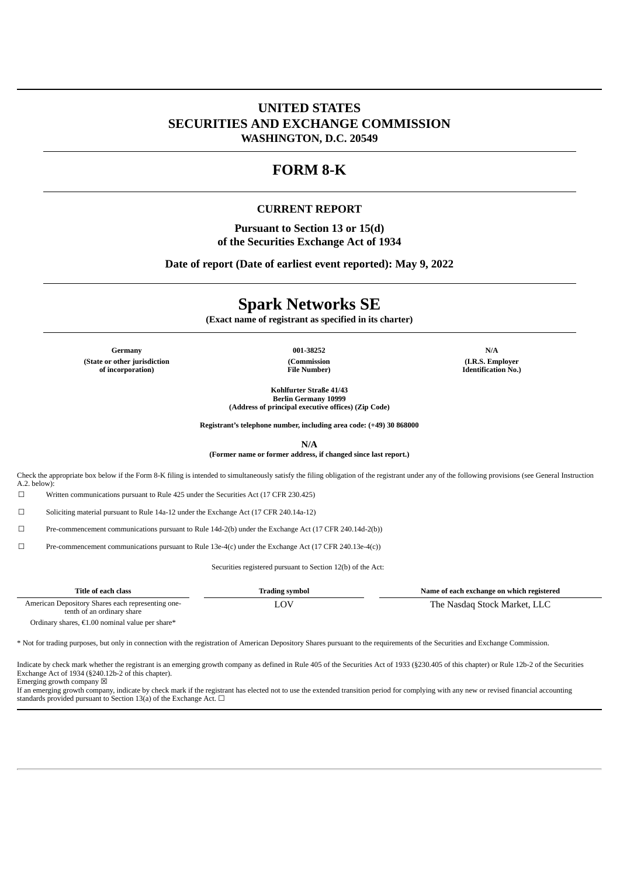## **UNITED STATES SECURITIES AND EXCHANGE COMMISSION WASHINGTON, D.C. 20549**

# **FORM 8-K**

#### **CURRENT REPORT**

**Pursuant to Section 13 or 15(d) of the Securities Exchange Act of 1934**

**Date of report (Date of earliest event reported): May 9, 2022**

# **Spark Networks SE**

**(Exact name of registrant as specified in its charter)**

**Germany 001-38252 N/A (State or other jurisdiction of incorporation)**

**(Commission File Number)**

**(I.R.S. Employer Identification No.)**

**Kohlfurter Straße 41/43 Berlin Germany 10999 (Address of principal executive offices) (Zip Code)**

**Registrant's telephone number, including area code: (+49) 30 868000**

**N/A**

**(Former name or former address, if changed since last report.)**

Check the appropriate box below if the Form 8-K filing is intended to simultaneously satisfy the filing obligation of the registrant under any of the following provisions (see General Instruction  $A.2.$  below)

☐ Written communications pursuant to Rule 425 under the Securities Act (17 CFR 230.425)

☐ Soliciting material pursuant to Rule 14a-12 under the Exchange Act (17 CFR 240.14a-12)

☐ Pre-commencement communications pursuant to Rule 14d-2(b) under the Exchange Act (17 CFR 240.14d-2(b))

 $\square$  Pre-commencement communications pursuant to Rule 13e-4(c) under the Exchange Act (17 CFR 240.13e-4(c))

Securities registered pursuant to Section 12(b) of the Act:

| Title of each class                                                             | <b>Trading symbol</b> | Name of each exchange on which registered |
|---------------------------------------------------------------------------------|-----------------------|-------------------------------------------|
| American Depository Shares each representing one-<br>tenth of an ordinary share |                       | The Nasdag Stock Market, LLC              |

Ordinary shares, €1.00 nominal value per share\*

\* Not for trading purposes, but only in connection with the registration of American Depository Shares pursuant to the requirements of the Securities and Exchange Commission.

Indicate by check mark whether the registrant is an emerging growth company as defined in Rule 405 of the Securities Act of 1933 (§230.405 of this chapter) or Rule 12b-2 of the Securities Exchange Act of 1934 (§240.12b-2 of this chapter).

Emerging growth company  $\boxtimes$ 

If an emerging growth company, indicate by check mark if the registrant has elected not to use the extended transition period for complying with any new or revised financial accounting standards provided pursuant to Section 13(a) of the Exchange Act.  $\Box$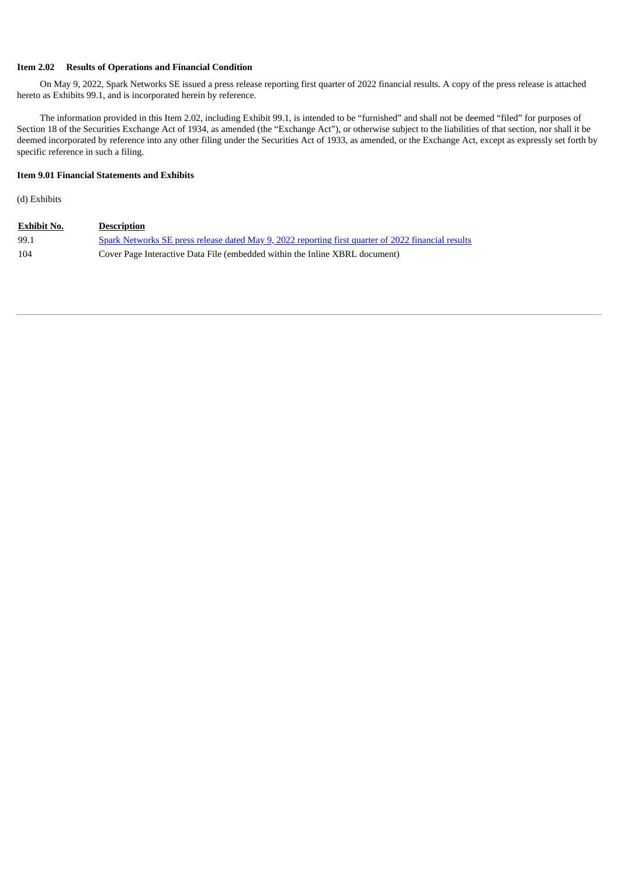#### **Item 2.02 Results of Operations and Financial Condition**

On May 9, 2022, Spark Networks SE issued a press release reporting first quarter of 2022 financial results. A copy of the press release is attached hereto as Exhibits 99.1, and is incorporated herein by reference.

The information provided in this Item 2.02, including Exhibit 99.1, is intended to be "furnished" and shall not be deemed "filed" for purposes of Section 18 of the Securities Exchange Act of 1934, as amended (the "Exchange Act"), or otherwise subject to the liabilities of that section, nor shall it be deemed incorporated by reference into any other filing under the Securities Act of 1933, as amended, or the Exchange Act, except as expressly set forth by specific reference in such a filing.

#### **Item 9.01 Financial Statements and Exhibits**

(d) Exhibits

| <b>Exhibit No.</b> | <b>Description</b>                                                                                  |
|--------------------|-----------------------------------------------------------------------------------------------------|
| 99.1               | Spark Networks SE press release dated May 9, 2022 reporting first quarter of 2022 financial results |
| 104                | Cover Page Interactive Data File (embedded within the Inline XBRL document)                         |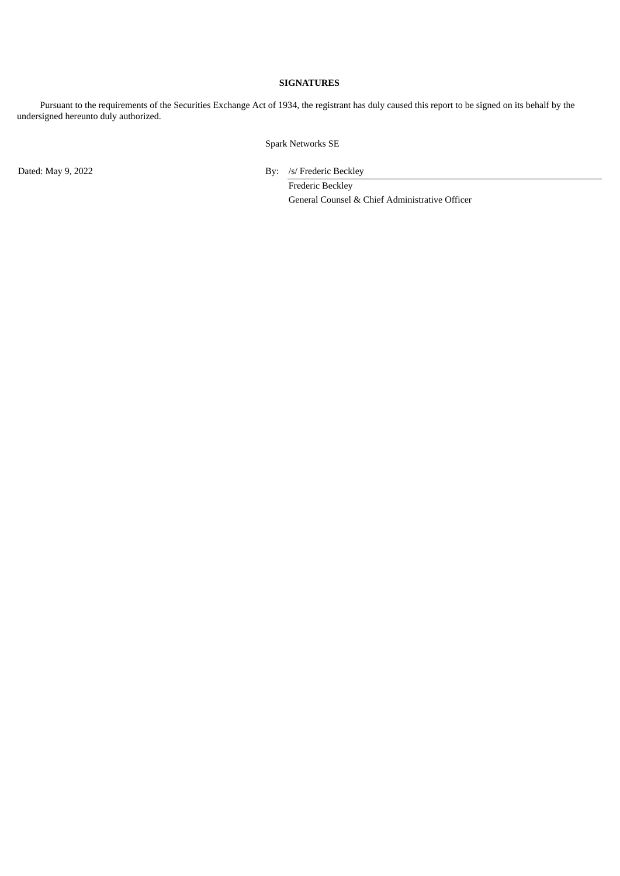#### **SIGNATURES**

Pursuant to the requirements of the Securities Exchange Act of 1934, the registrant has duly caused this report to be signed on its behalf by the undersigned hereunto duly authorized.

Spark Networks SE

Dated: May 9, 2022 By: /s/ Frederic Beckley

Frederic Beckley General Counsel & Chief Administrative Officer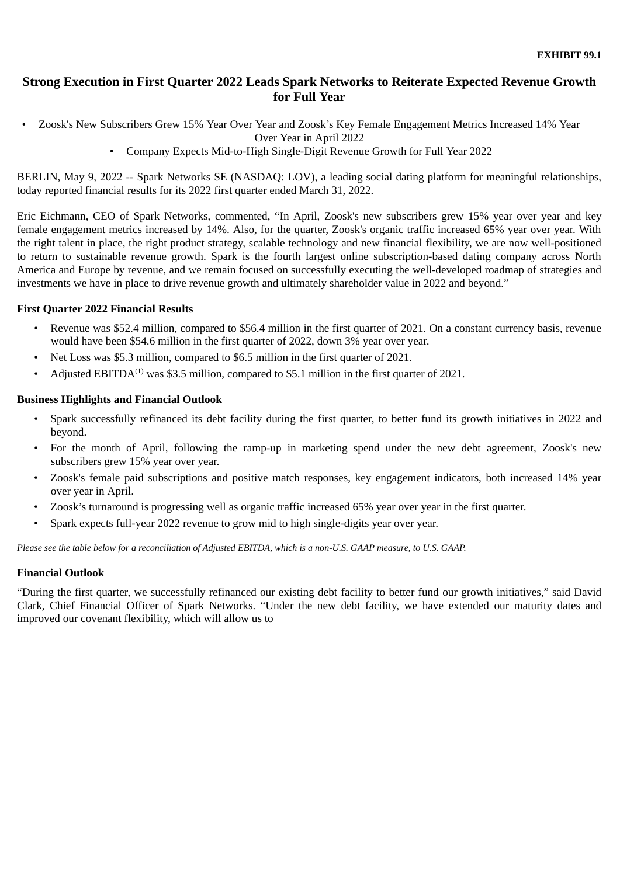# <span id="page-3-0"></span>**Strong Execution in First Quarter 2022 Leads Spark Networks to Reiterate Expected Revenue Growth for Full Year**

• Zoosk's New Subscribers Grew 15% Year Over Year and Zoosk's Key Female Engagement Metrics Increased 14% Year

Over Year in April 2022

• Company Expects Mid-to-High Single-Digit Revenue Growth for Full Year 2022

BERLIN, May 9, 2022 -- Spark Networks SE (NASDAQ: LOV), a leading social dating platform for meaningful relationships, today reported financial results for its 2022 first quarter ended March 31, 2022.

Eric Eichmann, CEO of Spark Networks, commented, "In April, Zoosk's new subscribers grew 15% year over year and key female engagement metrics increased by 14%. Also, for the quarter, Zoosk's organic traffic increased 65% year over year. With the right talent in place, the right product strategy, scalable technology and new financial flexibility, we are now well-positioned to return to sustainable revenue growth. Spark is the fourth largest online subscription-based dating company across North America and Europe by revenue, and we remain focused on successfully executing the well-developed roadmap of strategies and investments we have in place to drive revenue growth and ultimately shareholder value in 2022 and beyond."

## **First Quarter 2022 Financial Results**

- *•* Revenue was \$52.4 million, compared to \$56.4 million in the first quarter of 2021. On a constant currency basis, revenue would have been \$54.6 million in the first quarter of 2022, down 3% year over year.
- *•* Net Loss was \$5.3 million, compared to \$6.5 million in the first quarter of 2021.
- Adjusted EBITDA<sup> $(1)$ </sup> was \$3.5 million, compared to \$5.1 million in the first quarter of 2021.

## **Business Highlights and Financial Outlook**

- *•* Spark successfully refinanced its debt facility during the first quarter, to better fund its growth initiatives in 2022 and beyond.
- *•* For the month of April, following the ramp-up in marketing spend under the new debt agreement, Zoosk's new subscribers grew 15% year over year.
- Zoosk's female paid subscriptions and positive match responses, key engagement indicators, both increased 14% year over year in April.
- Zoosk's turnaround is progressing well as organic traffic increased 65% year over year in the first quarter.
- Spark expects full-year 2022 revenue to grow mid to high single-digits year over year.

Please see the table below for a reconciliation of Adjusted EBITDA, which is a non-U.S. GAAP measure, to U.S. GAAP.

## **Financial Outlook**

"During the first quarter, we successfully refinanced our existing debt facility to better fund our growth initiatives," said David Clark, Chief Financial Officer of Spark Networks. "Under the new debt facility, we have extended our maturity dates and improved our covenant flexibility, which will allow us to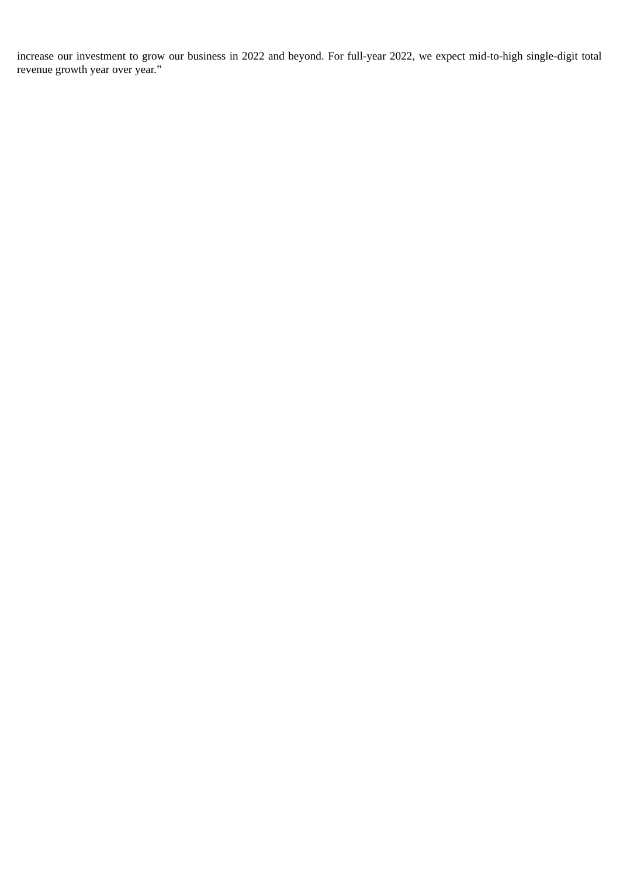increase our investment to grow our business in 2022 and beyond. For full-year 2022, we expect mid-to-high single-digit total revenue growth year over year."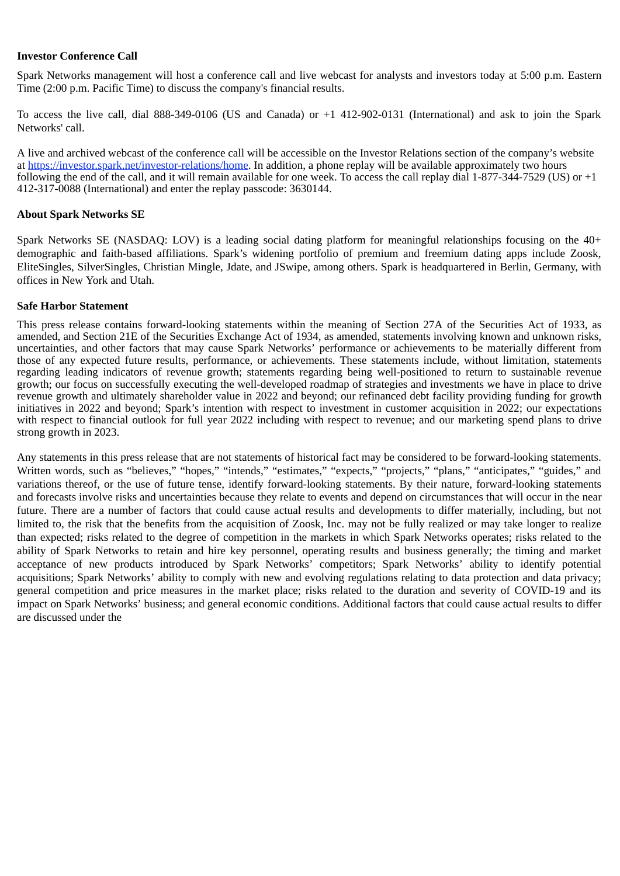## **Investor Conference Call**

Spark Networks management will host a conference call and live webcast for analysts and investors today at 5:00 p.m. Eastern Time (2:00 p.m. Pacific Time) to discuss the company's financial results.

To access the live call, dial 888-349-0106 (US and Canada) or +1 412-902-0131 (International) and ask to join the Spark Networks' call.

A live and archived webcast of the conference call will be accessible on the Investor Relations section of the company's website at https://investor.spark.net/investor-relations/home. In addition, a phone replay will be available approximately two hours following the end of the call, and it will remain available for one week. To access the call replay dial 1-877-344-7529 (US) or +1 412-317-0088 (International) and enter the replay passcode: 3630144.

## **About Spark Networks SE**

Spark Networks SE (NASDAQ: LOV) is a leading social dating platform for meaningful relationships focusing on the 40+ demographic and faith-based affiliations. Spark's widening portfolio of premium and freemium dating apps include Zoosk, EliteSingles, SilverSingles, Christian Mingle, Jdate, and JSwipe, among others. Spark is headquartered in Berlin, Germany, with offices in New York and Utah.

## **Safe Harbor Statement**

This press release contains forward-looking statements within the meaning of Section 27A of the Securities Act of 1933, as amended, and Section 21E of the Securities Exchange Act of 1934, as amended, statements involving known and unknown risks, uncertainties, and other factors that may cause Spark Networks' performance or achievements to be materially different from those of any expected future results, performance, or achievements. These statements include, without limitation, statements regarding leading indicators of revenue growth; statements regarding being well-positioned to return to sustainable revenue growth; our focus on successfully executing the well-developed roadmap of strategies and investments we have in place to drive revenue growth and ultimately shareholder value in 2022 and beyond; our refinanced debt facility providing funding for growth initiatives in 2022 and beyond; Spark's intention with respect to investment in customer acquisition in 2022; our expectations with respect to financial outlook for full year 2022 including with respect to revenue; and our marketing spend plans to drive strong growth in 2023.

Any statements in this press release that are not statements of historical fact may be considered to be forward-looking statements. Written words, such as "believes," "hopes," "intends," "estimates," "expects," "projects," "plans," "anticipates," "guides," and variations thereof, or the use of future tense, identify forward-looking statements. By their nature, forward-looking statements and forecasts involve risks and uncertainties because they relate to events and depend on circumstances that will occur in the near future. There are a number of factors that could cause actual results and developments to differ materially, including, but not limited to, the risk that the benefits from the acquisition of Zoosk, Inc. may not be fully realized or may take longer to realize than expected; risks related to the degree of competition in the markets in which Spark Networks operates; risks related to the ability of Spark Networks to retain and hire key personnel, operating results and business generally; the timing and market acceptance of new products introduced by Spark Networks' competitors; Spark Networks' ability to identify potential acquisitions; Spark Networks' ability to comply with new and evolving regulations relating to data protection and data privacy; general competition and price measures in the market place; risks related to the duration and severity of COVID-19 and its impact on Spark Networks' business; and general economic conditions. Additional factors that could cause actual results to differ are discussed under the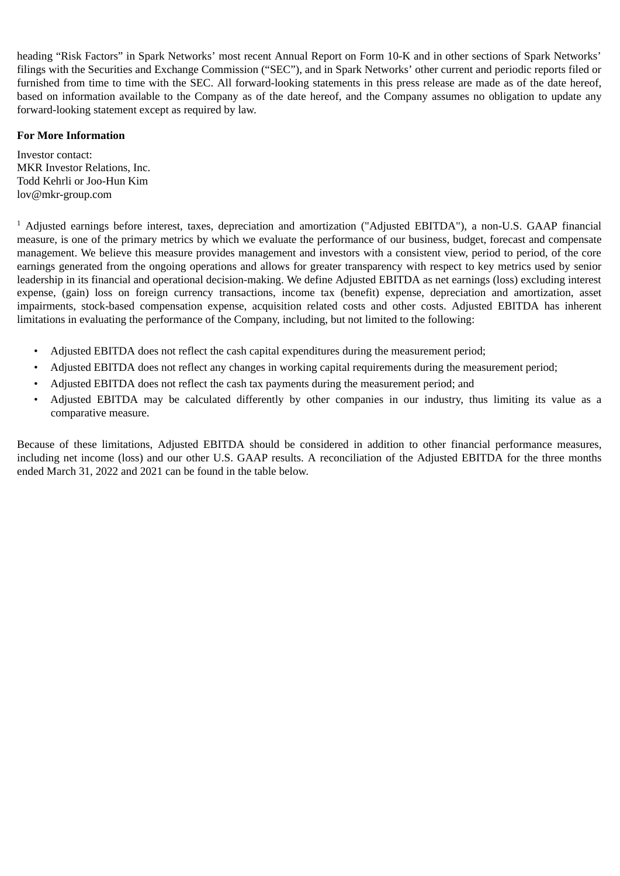heading "Risk Factors" in Spark Networks' most recent Annual Report on Form 10-K and in other sections of Spark Networks' filings with the Securities and Exchange Commission ("SEC"), and in Spark Networks' other current and periodic reports filed or furnished from time to time with the SEC. All forward-looking statements in this press release are made as of the date hereof, based on information available to the Company as of the date hereof, and the Company assumes no obligation to update any forward-looking statement except as required by law.

## **For More Information**

Investor contact: MKR Investor Relations, Inc. Todd Kehrli or Joo-Hun Kim lov@mkr-group.com

<sup>1</sup> Adjusted earnings before interest, taxes, depreciation and amortization ("Adjusted EBITDA"), a non-U.S. GAAP financial measure, is one of the primary metrics by which we evaluate the performance of our business, budget, forecast and compensate management. We believe this measure provides management and investors with a consistent view, period to period, of the core earnings generated from the ongoing operations and allows for greater transparency with respect to key metrics used by senior leadership in its financial and operational decision-making. We define Adjusted EBITDA as net earnings (loss) excluding interest expense, (gain) loss on foreign currency transactions, income tax (benefit) expense, depreciation and amortization, asset impairments, stock-based compensation expense, acquisition related costs and other costs. Adjusted EBITDA has inherent limitations in evaluating the performance of the Company, including, but not limited to the following:

- Adjusted EBITDA does not reflect the cash capital expenditures during the measurement period;
- Adjusted EBITDA does not reflect any changes in working capital requirements during the measurement period;
- Adjusted EBITDA does not reflect the cash tax payments during the measurement period; and
- Adjusted EBITDA may be calculated differently by other companies in our industry, thus limiting its value as a comparative measure.

Because of these limitations, Adjusted EBITDA should be considered in addition to other financial performance measures, including net income (loss) and our other U.S. GAAP results. A reconciliation of the Adjusted EBITDA for the three months ended March 31, 2022 and 2021 can be found in the table below.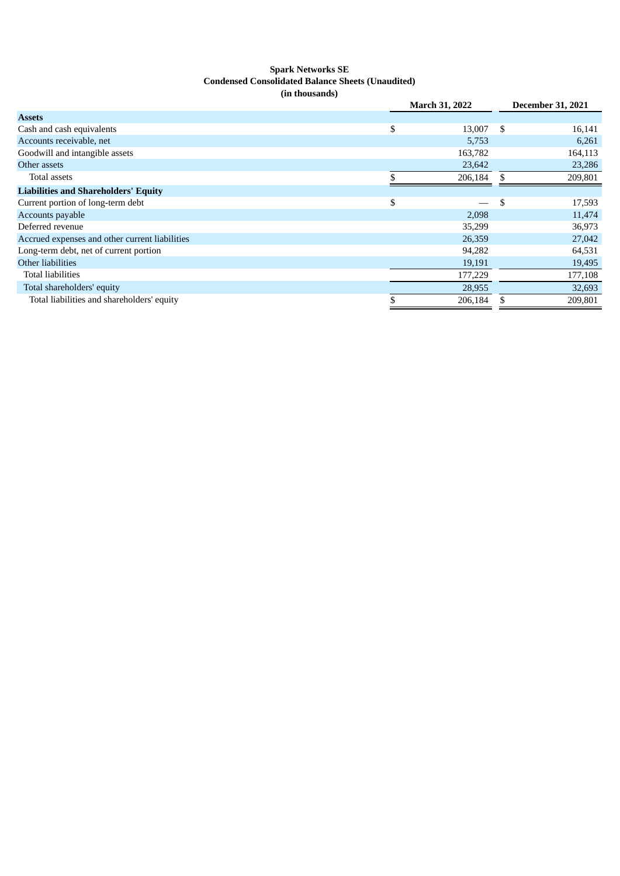#### **Spark Networks SE Condensed Consolidated Balance Sheets (Unaudited) (in thousands)**

|                                                |    | <b>March 31, 2022</b> |    | <b>December 31, 2021</b> |  |
|------------------------------------------------|----|-----------------------|----|--------------------------|--|
| <b>Assets</b>                                  |    |                       |    |                          |  |
| Cash and cash equivalents                      | \$ | 13,007                | \$ | 16,141                   |  |
| Accounts receivable, net                       |    | 5,753                 |    | 6,261                    |  |
| Goodwill and intangible assets                 |    | 163,782               |    | 164,113                  |  |
| Other assets                                   |    | 23,642                |    | 23,286                   |  |
| Total assets                                   |    | 206,184               |    | 209,801                  |  |
| <b>Liabilities and Shareholders' Equity</b>    |    |                       |    |                          |  |
| Current portion of long-term debt              | \$ |                       | \$ | 17,593                   |  |
| Accounts payable                               |    | 2,098                 |    | 11,474                   |  |
| Deferred revenue                               |    | 35,299                |    | 36,973                   |  |
| Accrued expenses and other current liabilities |    | 26,359                |    | 27,042                   |  |
| Long-term debt, net of current portion         |    | 94,282                |    | 64,531                   |  |
| Other liabilities                              |    | 19,191                |    | 19,495                   |  |
| <b>Total liabilities</b>                       |    | 177,229               |    | 177,108                  |  |
| Total shareholders' equity                     |    | 28,955                |    | 32,693                   |  |
| Total liabilities and shareholders' equity     |    | 206,184               |    | 209.801                  |  |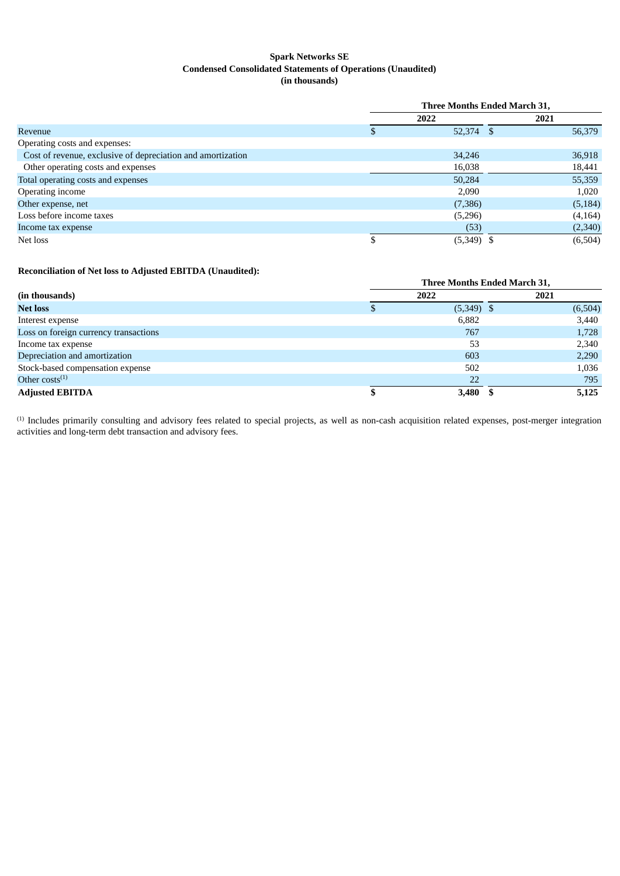#### **Spark Networks SE Condensed Consolidated Statements of Operations (Unaudited) (in thousands)**

|                                                             |   | Three Months Ended March 31, |          |  |  |
|-------------------------------------------------------------|---|------------------------------|----------|--|--|
|                                                             |   | 2022                         | 2021     |  |  |
| Revenue                                                     |   | 52,374 \$                    | 56,379   |  |  |
| Operating costs and expenses:                               |   |                              |          |  |  |
| Cost of revenue, exclusive of depreciation and amortization |   | 34,246                       | 36,918   |  |  |
| Other operating costs and expenses                          |   | 16,038                       | 18,441   |  |  |
| Total operating costs and expenses                          |   | 50,284                       | 55,359   |  |  |
| Operating income                                            |   | 2,090                        | 1,020    |  |  |
| Other expense, net                                          |   | (7,386)                      | (5, 184) |  |  |
| Loss before income taxes                                    |   | (5,296)                      | (4, 164) |  |  |
| Income tax expense                                          |   | (53)                         | (2,340)  |  |  |
| Net loss                                                    | D | $(5,349)$ \$                 | (6,504)  |  |  |

#### **Reconciliation of Net loss to Adjusted EBITDA (Unaudited):**

|                                       | <b>Three Months Ended March 31,</b> |              |  |         |  |
|---------------------------------------|-------------------------------------|--------------|--|---------|--|
| (in thousands)                        |                                     | 2022         |  |         |  |
| <b>Net loss</b>                       |                                     | $(5,349)$ \$ |  | (6,504) |  |
| Interest expense                      |                                     | 6,882        |  | 3,440   |  |
| Loss on foreign currency transactions |                                     | 767          |  | 1,728   |  |
| Income tax expense                    |                                     | 53           |  | 2,340   |  |
| Depreciation and amortization         |                                     | 603          |  | 2,290   |  |
| Stock-based compensation expense      |                                     | 502          |  | 1,036   |  |
| Other $costs^{(1)}$                   |                                     | 22           |  | 795     |  |
| <b>Adjusted EBITDA</b>                |                                     | 3,480        |  | 5,125   |  |

 $<sup>(1)</sup>$  Includes primarily consulting and advisory fees related to special projects, as well as non-cash acquisition related expenses, post-merger integration</sup> activities and long-term debt transaction and advisory fees.